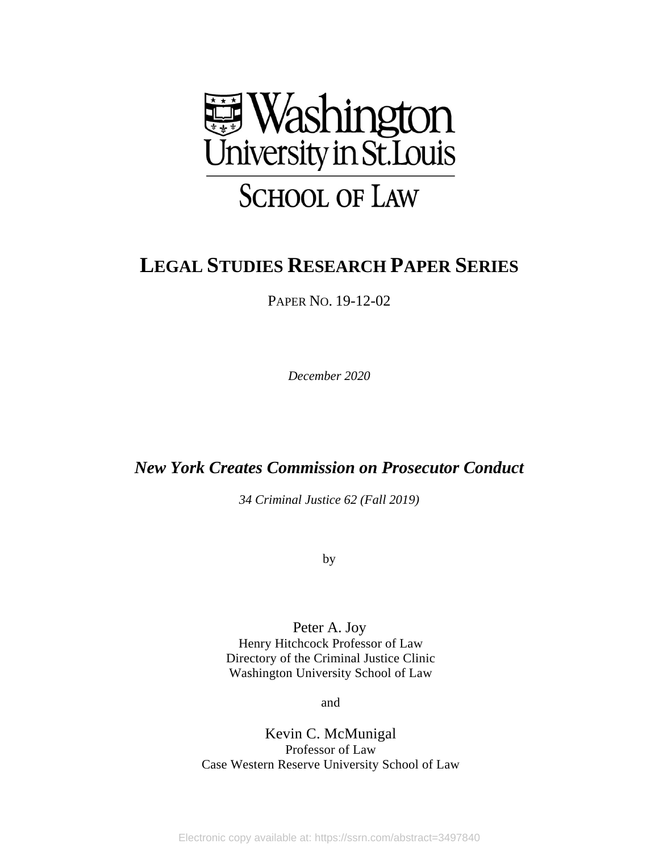

# **LEGAL STUDIES RESEARCH PAPER SERIES**

PAPER NO. 19-12-02

*December 2020* 

# *New York Creates Commission on Prosecutor Conduct*

*34 Criminal Justice 62 (Fall 2019)* 

by

Peter A. Joy Henry Hitchcock Professor of Law Directory of the Criminal Justice Clinic Washington University School of Law

and

Kevin C. McMunigal Professor of Law Case Western Reserve University School of Law

Electronic copy available at: https://ssrn.com/abstract=3497840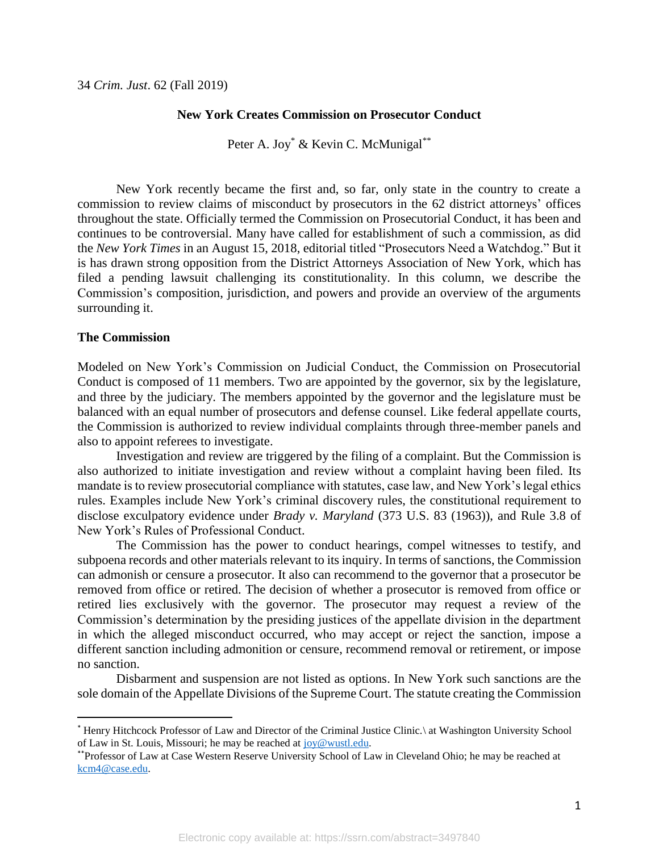# **New York Creates Commission on Prosecutor Conduct**

Peter A. Joy<sup>\*</sup> & Kevin C. McMunigal<sup>\*\*</sup>

New York recently became the first and, so far, only state in the country to create a commission to review claims of misconduct by prosecutors in the 62 district attorneys' offices throughout the state. Officially termed the Commission on Prosecutorial Conduct, it has been and continues to be controversial. Many have called for establishment of such a commission, as did the *New York Times* in an August 15, 2018, editorial titled "Prosecutors Need a Watchdog." But it is has drawn strong opposition from the District Attorneys Association of New York, which has filed a pending lawsuit challenging its constitutionality. In this column, we describe the Commission's composition, jurisdiction, and powers and provide an overview of the arguments surrounding it.

### **The Commission**

 $\overline{a}$ 

Modeled on New York's Commission on Judicial Conduct, the Commission on Prosecutorial Conduct is composed of 11 members. Two are appointed by the governor, six by the legislature, and three by the judiciary. The members appointed by the governor and the legislature must be balanced with an equal number of prosecutors and defense counsel. Like federal appellate courts, the Commission is authorized to review individual complaints through three-member panels and also to appoint referees to investigate.

Investigation and review are triggered by the filing of a complaint. But the Commission is also authorized to initiate investigation and review without a complaint having been filed. Its mandate is to review prosecutorial compliance with statutes, case law, and New York's legal ethics rules. Examples include New York's criminal discovery rules, the constitutional requirement to disclose exculpatory evidence under *Brady v. Maryland* (373 U.S. 83 (1963)), and Rule 3.8 of New York's Rules of Professional Conduct.

The Commission has the power to conduct hearings, compel witnesses to testify, and subpoena records and other materials relevant to its inquiry. In terms of sanctions, the Commission can admonish or censure a prosecutor. It also can recommend to the governor that a prosecutor be removed from office or retired. The decision of whether a prosecutor is removed from office or retired lies exclusively with the governor. The prosecutor may request a review of the Commission's determination by the presiding justices of the appellate division in the department in which the alleged misconduct occurred, who may accept or reject the sanction, impose a different sanction including admonition or censure, recommend removal or retirement, or impose no sanction.

Disbarment and suspension are not listed as options. In New York such sanctions are the sole domain of the Appellate Divisions of the Supreme Court. The statute creating the Commission

<sup>\*</sup> Henry Hitchcock Professor of Law and Director of the Criminal Justice Clinic.\ at Washington University School of Law in St. Louis, Missouri; he may be reached at [joy@wustl.edu.](mailto:joy@wustl.edu)

<sup>\*\*</sup>Professor of Law at Case Western Reserve University School of Law in Cleveland Ohio; he may be reached at [kcm4@case.edu.](mailto:kcm4@case.edu)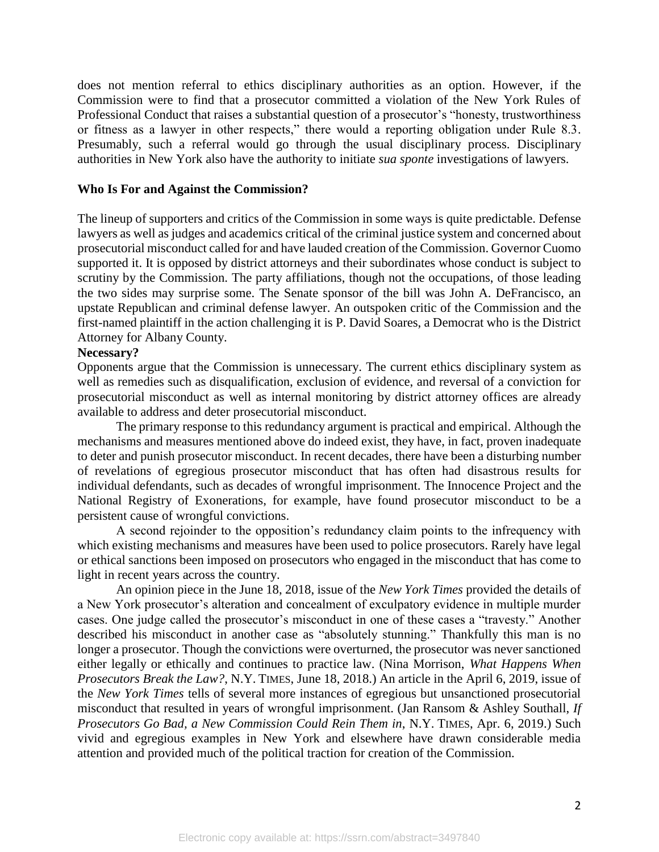does not mention referral to ethics disciplinary authorities as an option. However, if the Commission were to find that a prosecutor committed a violation of the New York Rules of Professional Conduct that raises a substantial question of a prosecutor's "honesty, trustworthiness or fitness as a lawyer in other respects," there would a reporting obligation under Rule 8.3. Presumably, such a referral would go through the usual disciplinary process. Disciplinary authorities in New York also have the authority to initiate *sua sponte* investigations of lawyers.

# **Who Is For and Against the Commission?**

The lineup of supporters and critics of the Commission in some ways is quite predictable. Defense lawyers as well as judges and academics critical of the criminal justice system and concerned about prosecutorial misconduct called for and have lauded creation of the Commission. Governor Cuomo supported it. It is opposed by district attorneys and their subordinates whose conduct is subject to scrutiny by the Commission. The party affiliations, though not the occupations, of those leading the two sides may surprise some. The Senate sponsor of the bill was John A. DeFrancisco, an upstate Republican and criminal defense lawyer. An outspoken critic of the Commission and the first-named plaintiff in the action challenging it is P. David Soares, a Democrat who is the District Attorney for Albany County.

# **Necessary?**

Opponents argue that the Commission is unnecessary. The current ethics disciplinary system as well as remedies such as disqualification, exclusion of evidence, and reversal of a conviction for prosecutorial misconduct as well as internal monitoring by district attorney offices are already available to address and deter prosecutorial misconduct.

The primary response to this redundancy argument is practical and empirical. Although the mechanisms and measures mentioned above do indeed exist, they have, in fact, proven inadequate to deter and punish prosecutor misconduct. In recent decades, there have been a disturbing number of revelations of egregious prosecutor misconduct that has often had disastrous results for individual defendants, such as decades of wrongful imprisonment. The Innocence Project and the National Registry of Exonerations, for example, have found prosecutor misconduct to be a persistent cause of wrongful convictions.

A second rejoinder to the opposition's redundancy claim points to the infrequency with which existing mechanisms and measures have been used to police prosecutors. Rarely have legal or ethical sanctions been imposed on prosecutors who engaged in the misconduct that has come to light in recent years across the country.

An opinion piece in the June 18, 2018, issue of the *New York Times* provided the details of a New York prosecutor's alteration and concealment of exculpatory evidence in multiple murder cases. One judge called the prosecutor's misconduct in one of these cases a "travesty." Another described his misconduct in another case as "absolutely stunning." Thankfully this man is no longer a prosecutor. Though the convictions were overturned, the prosecutor was never sanctioned either legally or ethically and continues to practice law. (Nina Morrison, *What Happens When Prosecutors Break the Law?*, N.Y. TIMES, June 18, 2018.) An article in the April 6, 2019, issue of the *New York Times* tells of several more instances of egregious but unsanctioned prosecutorial misconduct that resulted in years of wrongful imprisonment. (Jan Ransom & Ashley Southall, *If Prosecutors Go Bad, a New Commission Could Rein Them in*, N.Y. TIMES, Apr. 6, 2019.) Such vivid and egregious examples in New York and elsewhere have drawn considerable media attention and provided much of the political traction for creation of the Commission.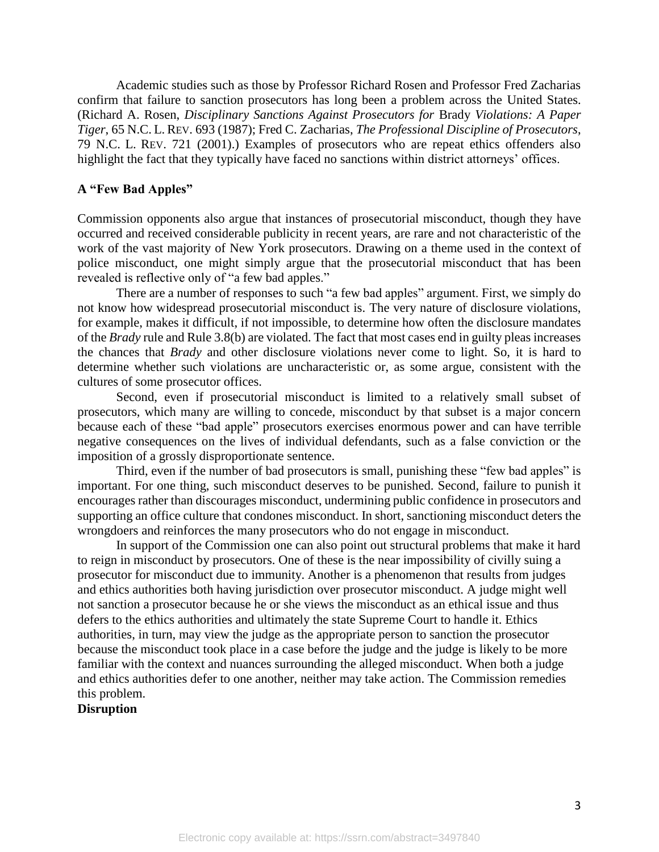Academic studies such as those by Professor Richard Rosen and Professor Fred Zacharias confirm that failure to sanction prosecutors has long been a problem across the United States. (Richard A. Rosen, *Disciplinary Sanctions Against Prosecutors for* Brady *Violations: A Paper Tiger*, 65 N.C. L. REV. 693 (1987); Fred C. Zacharias, *The Professional Discipline of Prosecutors*, 79 N.C. L. REV. 721 (2001).) Examples of prosecutors who are repeat ethics offenders also highlight the fact that they typically have faced no sanctions within district attorneys' offices.

# **A "Few Bad Apples"**

Commission opponents also argue that instances of prosecutorial misconduct, though they have occurred and received considerable publicity in recent years, are rare and not characteristic of the work of the vast majority of New York prosecutors. Drawing on a theme used in the context of police misconduct, one might simply argue that the prosecutorial misconduct that has been revealed is reflective only of "a few bad apples."

There are a number of responses to such "a few bad apples" argument. First, we simply do not know how widespread prosecutorial misconduct is. The very nature of disclosure violations, for example, makes it difficult, if not impossible, to determine how often the disclosure mandates of the *Brady* rule and Rule 3.8(b) are violated. The fact that most cases end in guilty pleas increases the chances that *Brady* and other disclosure violations never come to light. So, it is hard to determine whether such violations are uncharacteristic or, as some argue, consistent with the cultures of some prosecutor offices.

Second, even if prosecutorial misconduct is limited to a relatively small subset of prosecutors, which many are willing to concede, misconduct by that subset is a major concern because each of these "bad apple" prosecutors exercises enormous power and can have terrible negative consequences on the lives of individual defendants, such as a false conviction or the imposition of a grossly disproportionate sentence.

Third, even if the number of bad prosecutors is small, punishing these "few bad apples" is important. For one thing, such misconduct deserves to be punished. Second, failure to punish it encourages rather than discourages misconduct, undermining public confidence in prosecutors and supporting an office culture that condones misconduct. In short, sanctioning misconduct deters the wrongdoers and reinforces the many prosecutors who do not engage in misconduct.

In support of the Commission one can also point out structural problems that make it hard to reign in misconduct by prosecutors. One of these is the near impossibility of civilly suing a prosecutor for misconduct due to immunity. Another is a phenomenon that results from judges and ethics authorities both having jurisdiction over prosecutor misconduct. A judge might well not sanction a prosecutor because he or she views the misconduct as an ethical issue and thus defers to the ethics authorities and ultimately the state Supreme Court to handle it. Ethics authorities, in turn, may view the judge as the appropriate person to sanction the prosecutor because the misconduct took place in a case before the judge and the judge is likely to be more familiar with the context and nuances surrounding the alleged misconduct. When both a judge and ethics authorities defer to one another, neither may take action. The Commission remedies this problem.

# **Disruption**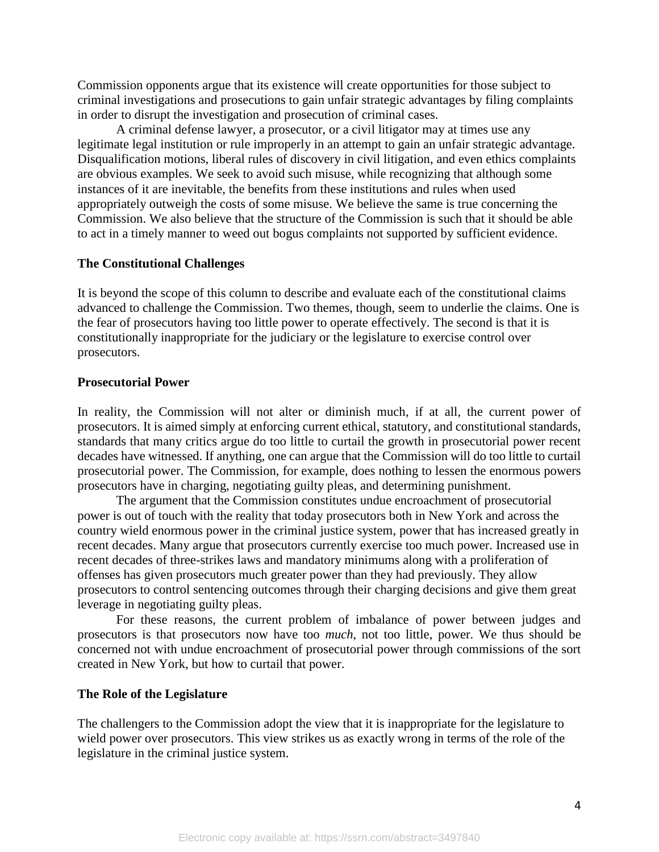Commission opponents argue that its existence will create opportunities for those subject to criminal investigations and prosecutions to gain unfair strategic advantages by filing complaints in order to disrupt the investigation and prosecution of criminal cases.

A criminal defense lawyer, a prosecutor, or a civil litigator may at times use any legitimate legal institution or rule improperly in an attempt to gain an unfair strategic advantage. Disqualification motions, liberal rules of discovery in civil litigation, and even ethics complaints are obvious examples. We seek to avoid such misuse, while recognizing that although some instances of it are inevitable, the benefits from these institutions and rules when used appropriately outweigh the costs of some misuse. We believe the same is true concerning the Commission. We also believe that the structure of the Commission is such that it should be able to act in a timely manner to weed out bogus complaints not supported by sufficient evidence.

# **The Constitutional Challenges**

It is beyond the scope of this column to describe and evaluate each of the constitutional claims advanced to challenge the Commission. Two themes, though, seem to underlie the claims. One is the fear of prosecutors having too little power to operate effectively. The second is that it is constitutionally inappropriate for the judiciary or the legislature to exercise control over prosecutors.

#### **Prosecutorial Power**

In reality, the Commission will not alter or diminish much, if at all, the current power of prosecutors. It is aimed simply at enforcing current ethical, statutory, and constitutional standards, standards that many critics argue do too little to curtail the growth in prosecutorial power recent decades have witnessed. If anything, one can argue that the Commission will do too little to curtail prosecutorial power. The Commission, for example, does nothing to lessen the enormous powers prosecutors have in charging, negotiating guilty pleas, and determining punishment.

The argument that the Commission constitutes undue encroachment of prosecutorial power is out of touch with the reality that today prosecutors both in New York and across the country wield enormous power in the criminal justice system, power that has increased greatly in recent decades. Many argue that prosecutors currently exercise too much power. Increased use in recent decades of three-strikes laws and mandatory minimums along with a proliferation of offenses has given prosecutors much greater power than they had previously. They allow prosecutors to control sentencing outcomes through their charging decisions and give them great leverage in negotiating guilty pleas.

For these reasons, the current problem of imbalance of power between judges and prosecutors is that prosecutors now have too *much*, not too little, power. We thus should be concerned not with undue encroachment of prosecutorial power through commissions of the sort created in New York, but how to curtail that power.

## **The Role of the Legislature**

The challengers to the Commission adopt the view that it is inappropriate for the legislature to wield power over prosecutors. This view strikes us as exactly wrong in terms of the role of the legislature in the criminal justice system.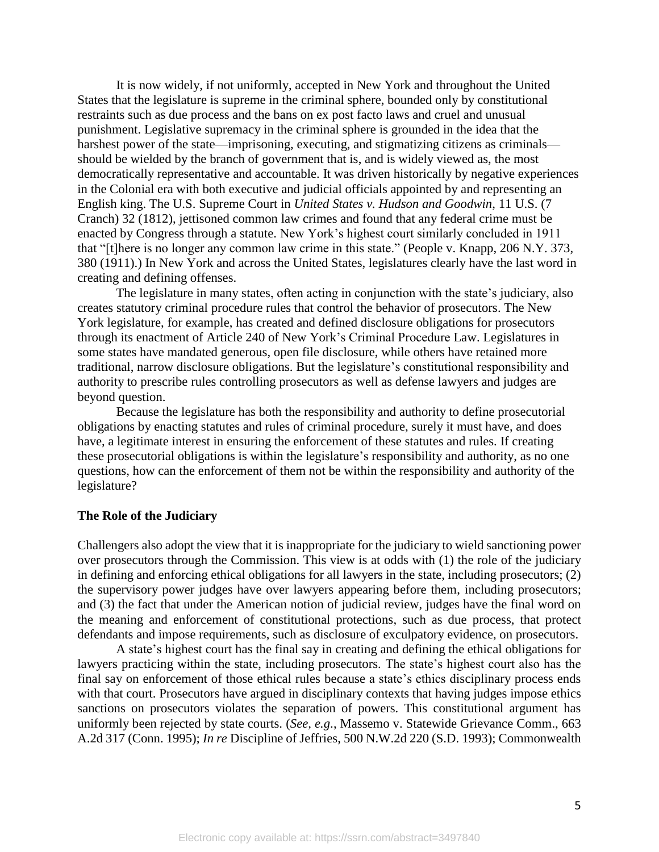It is now widely, if not uniformly, accepted in New York and throughout the United States that the legislature is supreme in the criminal sphere, bounded only by constitutional restraints such as due process and the bans on ex post facto laws and cruel and unusual punishment. Legislative supremacy in the criminal sphere is grounded in the idea that the harshest power of the state—imprisoning, executing, and stigmatizing citizens as criminals should be wielded by the branch of government that is, and is widely viewed as, the most democratically representative and accountable. It was driven historically by negative experiences in the Colonial era with both executive and judicial officials appointed by and representing an English king. The U.S. Supreme Court in *United States v. Hudson and Goodwin*, 11 U.S. (7 Cranch) 32 (1812), jettisoned common law crimes and found that any federal crime must be enacted by Congress through a statute. New York's highest court similarly concluded in 1911 that "[t]here is no longer any common law crime in this state." (People v. Knapp, 206 N.Y. 373, 380 (1911).) In New York and across the United States, legislatures clearly have the last word in creating and defining offenses.

The legislature in many states, often acting in conjunction with the state's judiciary, also creates statutory criminal procedure rules that control the behavior of prosecutors. The New York legislature, for example, has created and defined disclosure obligations for prosecutors through its enactment of Article 240 of New York's Criminal Procedure Law. Legislatures in some states have mandated generous, open file disclosure, while others have retained more traditional, narrow disclosure obligations. But the legislature's constitutional responsibility and authority to prescribe rules controlling prosecutors as well as defense lawyers and judges are beyond question.

Because the legislature has both the responsibility and authority to define prosecutorial obligations by enacting statutes and rules of criminal procedure, surely it must have, and does have, a legitimate interest in ensuring the enforcement of these statutes and rules. If creating these prosecutorial obligations is within the legislature's responsibility and authority, as no one questions, how can the enforcement of them not be within the responsibility and authority of the legislature?

# **The Role of the Judiciary**

Challengers also adopt the view that it is inappropriate for the judiciary to wield sanctioning power over prosecutors through the Commission. This view is at odds with (1) the role of the judiciary in defining and enforcing ethical obligations for all lawyers in the state, including prosecutors; (2) the supervisory power judges have over lawyers appearing before them, including prosecutors; and (3) the fact that under the American notion of judicial review, judges have the final word on the meaning and enforcement of constitutional protections, such as due process, that protect defendants and impose requirements, such as disclosure of exculpatory evidence, on prosecutors.

A state's highest court has the final say in creating and defining the ethical obligations for lawyers practicing within the state, including prosecutors. The state's highest court also has the final say on enforcement of those ethical rules because a state's ethics disciplinary process ends with that court. Prosecutors have argued in disciplinary contexts that having judges impose ethics sanctions on prosecutors violates the separation of powers. This constitutional argument has uniformly been rejected by state courts. (*See, e.g*., Massemo v. Statewide Grievance Comm., 663 A.2d 317 (Conn. 1995); *In re* Discipline of Jeffries, 500 N.W.2d 220 (S.D. 1993); Commonwealth